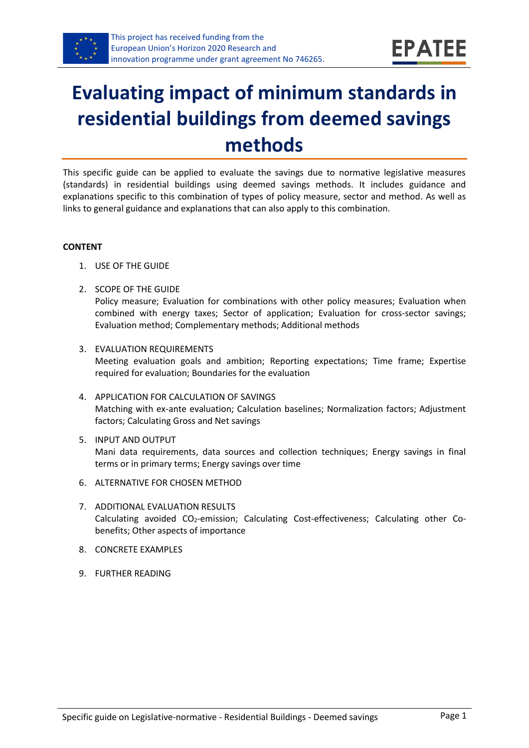

# **Evaluating impact of minimum standards in residential buildings from deemed savings methods**

This specific guide can be applied to evaluate the savings due to normative legislative measures (standards) in residential buildings using deemed savings methods. It includes guidance and explanations specific to this combination of types of policy measure, sector and method. As well as links to general guidance and explanations that can also apply to this combination.

#### **CONTENT**

- 1. USE OF THE GUIDE
- <span id="page-0-0"></span>2. SCOPE OF THE GUIDE

Policy measure; Evaluation for combinations with other policy measures; Evaluation when combined with energy taxes; Sector of application; Evaluation for cross-sector savings; Evaluation method; Complementary methods; Additional methods

- <span id="page-0-1"></span>3. EVALUATION REQUIREMENTS Meeting evaluation goals and ambition; Reporting expectations; Time frame; Expertise required for evaluation; Boundaries for the evaluation
- <span id="page-0-2"></span>4. APPLICATION FOR CALCULATION OF SAVINGS Matching with ex-ante evaluation; Calculation baselines; Normalization factors; Adjustment factors; Calculating Gross and Net savings
- <span id="page-0-3"></span>5. INPUT AND OUTPUT Mani data requirements, data sources and collection techniques; Energy savings in final terms or in primary terms; Energy savings over time
- <span id="page-0-4"></span>6. ALTERNATIVE FOR CHOSEN METHOD
- <span id="page-0-5"></span>7. ADDITIONAL EVALUATION RESULTS Calculating avoided CO2-emission; Calculating Cost-effectiveness; Calculating other Cobenefits; Other aspects of importance
- <span id="page-0-6"></span>8. CONCRETE EXAMPLES
- <span id="page-0-7"></span>9. FURTHER READING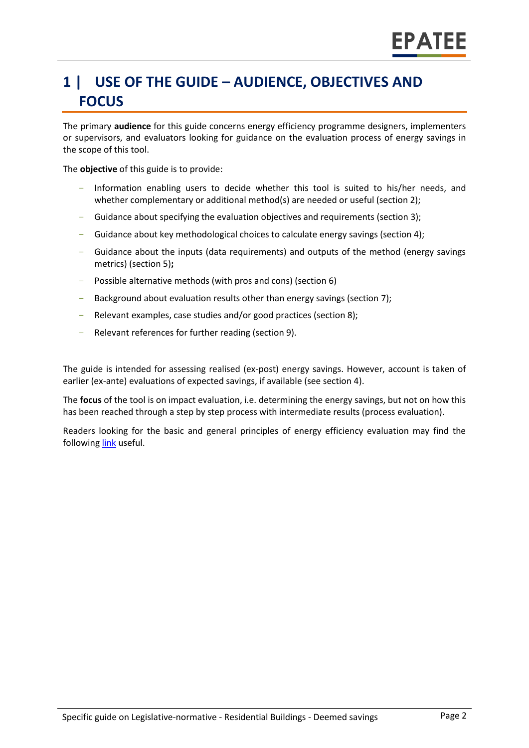# **1 | USE OF THE GUIDE – AUDIENCE, OBJECTIVES AND FOCUS**

The primary **audience** for this guide concerns energy efficiency programme designers, implementers or supervisors, and evaluators looking for guidance on the evaluation process of energy savings in the scope of this tool.

The **objective** of this guide is to provide:

- Information enabling users to decide whether this tool is suited to his/her needs, and whether complementary or additional method(s) are needed or useful (sectio[n 2\)](#page-0-0);
- Guidance about specifying the evaluation objectives and requirements (section [3\)](#page-0-1);
- Guidance about key methodological choices to calculate energy savings (section [4\)](#page-0-2);
- Guidance about the inputs (data requirements) and outputs of the method (energy savings metrics) (sectio[n 5\)](#page-0-3)**;**
- Possible alternative methods (with pros and cons) (section [6\)](#page-0-4)
- Background about evaluation results other than energy savings (sectio[n 7\)](#page-0-5);
- Relevant examples, case studies and/or good practices (section [8\)](#page-0-6);
- Relevant references for further reading (section [9\)](#page-0-7).

The guide is intended for assessing realised (ex-post) energy savings. However, account is taken of earlier (ex-ante) evaluations of expected savings, if available (see section [4\)](#page-0-2).

The **focus** of the tool is on impact evaluation, i.e. determining the energy savings, but not on how this has been reached through a step by step process with intermediate results (process evaluation).

Readers looking for the basic and general principles of energy efficiency evaluation may find the followin[g link](https://www.epatee-toolbox.eu/evaluation-principles-and-methods/) useful.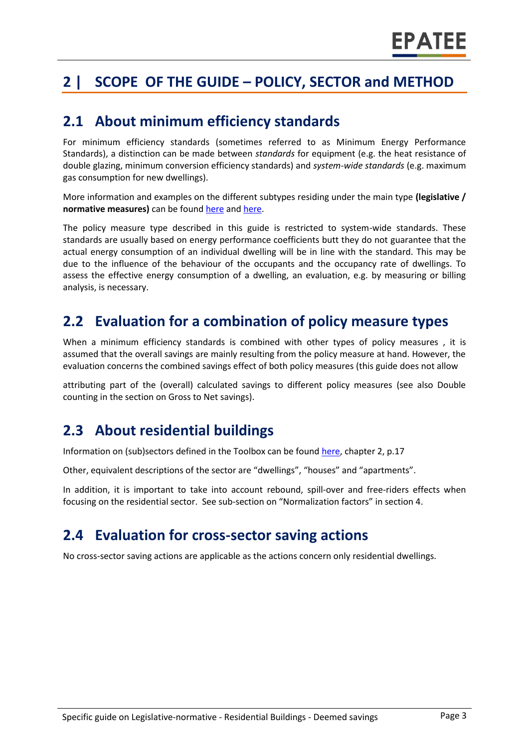# **2 | SCOPE OF THE GUIDE – POLICY, SECTOR and METHOD**

#### **2.1 About minimum efficiency standards**

For minimum efficiency standards (sometimes referred to as Minimum Energy Performance Standards), a distinction can be made between *standards* for equipment (e.g. the heat resistance of double glazing, minimum conversion efficiency standards) and *system-wide standards* (e.g. maximum gas consumption for new dwellings).

More information and examples on the different subtypes residing under the main type **(legislative / normative measures)** can be foun[d here](http://www.measures-odyssee-mure.eu/) and [here.](https://www.epatee-lib.eu/)

The policy measure type described in this guide is restricted to system-wide standards. These standards are usually based on energy performance coefficients butt they do not guarantee that the actual energy consumption of an individual dwelling will be in line with the standard. This may be due to the influence of the behaviour of the occupants and the occupancy rate of dwellings. To assess the effective energy consumption of a dwelling, an evaluation, e.g. by measuring or billing analysis, is necessary.

#### **2.2 Evaluation for a combination of policy measure types**

When a minimum efficiency standards is combined with other types of policy measures , it is assumed that the overall savings are mainly resulting from the policy measure at hand. However, the evaluation concerns the combined savings effect of both policy measures (this guide does not allow

attributing part of the (overall) calculated savings to different policy measures (see also Double counting in the section on Gross to Net savings).

#### **2.3 About residential buildings**

Information on (sub)sectors defined in the Toolbox can be found [here,](https://www.epatee-toolbox.eu/wp-content/uploads/2018/10/Definitions-and-typologies-related-to-energy-savings-evaluation.pdf) chapter 2, p.17

Other, equivalent descriptions of the sector are "dwellings", "houses" and "apartments".

In addition, it is important to take into account rebound, spill-over and free-riders effects when focusing on the residential sector. See sub-section on "Normalization factors" in section 4.

#### **2.4 Evaluation for cross-sector saving actions**

No cross-sector saving actions are applicable as the actions concern only residential dwellings.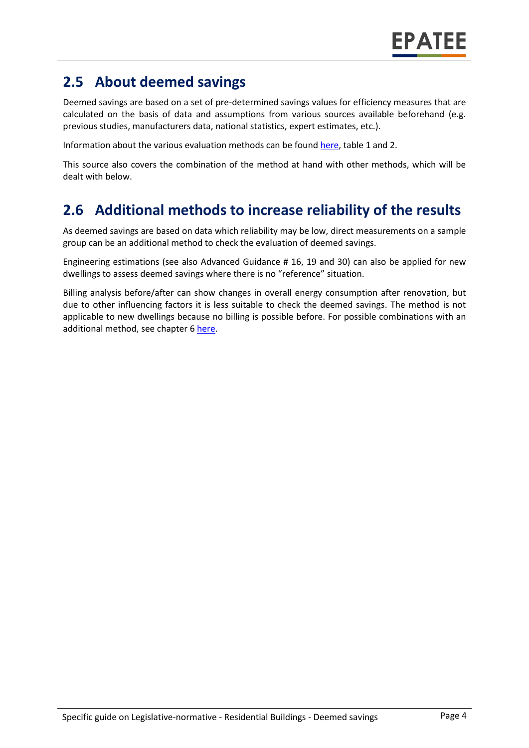## **2.5 About deemed savings**

Deemed savings are based on a set of pre-determined savings values for efficiency measures that are calculated on the basis of data and assumptions from various sources available beforehand (e.g. previous studies, manufacturers data, national statistics, expert estimates, etc.).

Information about the various evaluation methods can be foun[d here,](https://www.epatee-toolbox.eu/wp-content/uploads/2019/04/Saving_calculation_methods_for_EPATEE_Toobox_2019_04_24.pdf) table 1 and 2.

This source also covers the combination of the method at hand with other methods, which will be dealt with below.

### **2.6 Additional methods to increase reliability of the results**

As deemed savings are based on data which reliability may be low, direct measurements on a sample group can be an additional method to check the evaluation of deemed savings.

Engineering estimations (see also Advanced Guidance # 16, 19 and 30) can also be applied for new dwellings to assess deemed savings where there is no "reference" situation.

Billing analysis before/after can show changes in overall energy consumption after renovation, but due to other influencing factors it is less suitable to check the deemed savings. The method is not applicable to new dwellings because no billing is possible before. For possible combinations with an additional method, see chapter [6 here.](https://www.epatee-toolbox.eu/wp-content/uploads/2019/04/Saving_calculation_methods_for_EPATEE_Toobox_2019_04_24.pdf)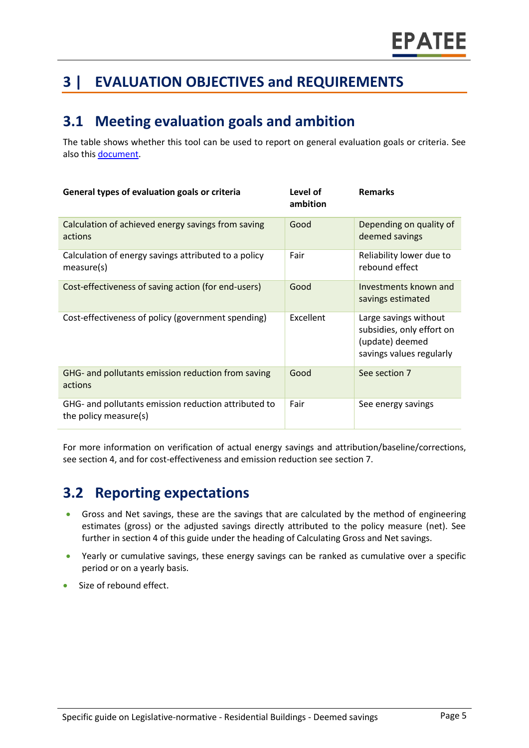# **3 | EVALUATION OBJECTIVES and REQUIREMENTS**

#### **3.1 Meeting evaluation goals and ambition**

The table shows whether this tool can be used to report on general evaluation goals or criteria. See also this [document.](https://www.epatee-lib.eu/media/docs/D4_EMEEES_Final.pdf)

| General types of evaluation goals or criteria                                 | Level of<br>ambition | <b>Remarks</b>                                                                                    |
|-------------------------------------------------------------------------------|----------------------|---------------------------------------------------------------------------------------------------|
| Calculation of achieved energy savings from saving<br>actions                 | Good                 | Depending on quality of<br>deemed savings                                                         |
| Calculation of energy savings attributed to a policy<br>measure(s)            | Fair                 | Reliability lower due to<br>rebound effect                                                        |
| Cost-effectiveness of saving action (for end-users)                           | Good                 | Investments known and<br>savings estimated                                                        |
| Cost-effectiveness of policy (government spending)                            | <b>Excellent</b>     | Large savings without<br>subsidies, only effort on<br>(update) deemed<br>savings values regularly |
| GHG- and pollutants emission reduction from saving<br>actions                 | Good                 | See section 7                                                                                     |
| GHG- and pollutants emission reduction attributed to<br>the policy measure(s) | Fair                 | See energy savings                                                                                |

For more information on verification of actual energy savings and attribution/baseline/corrections, see section 4, and for cost-effectiveness and emission reduction see section 7.

### **3.2 Reporting expectations**

- Gross and Net savings, these are the savings that are calculated by the method of engineering estimates (gross) or the adjusted savings directly attributed to the policy measure (net). See further in section 4 of this guide under the heading of Calculating Gross and Net savings.
- Yearly or cumulative savings, these energy savings can be ranked as cumulative over a specific period or on a yearly basis.
- Size of rebound effect.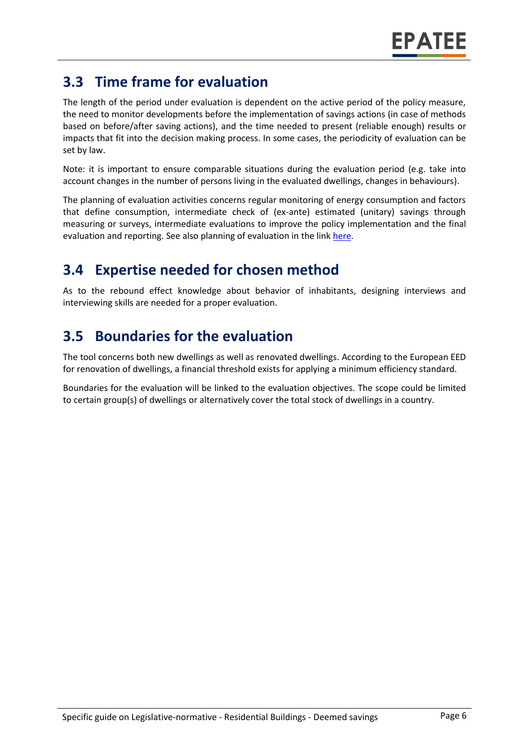## **3.3 Time frame for evaluation**

The length of the period under evaluation is dependent on the active period of the policy measure, the need to monitor developments before the implementation of savings actions (in case of methods based on before/after saving actions), and the time needed to present (reliable enough) results or impacts that fit into the decision making process. In some cases, the periodicity of evaluation can be set by law.

Note: it is important to ensure comparable situations during the evaluation period (e.g. take into account changes in the number of persons living in the evaluated dwellings, changes in behaviours).

The planning of evaluation activities concerns regular monitoring of energy consumption and factors that define consumption, intermediate check of (ex-ante) estimated (unitary) savings through measuring or surveys, intermediate evaluations to improve the policy implementation and the final evaluation and reporting. See also planning of evaluation in the lin[k here.](https://www.epatee-toolbox.eu/wp-content/uploads/2019/04/epatee_integrating_evaluation_into_policy_cycle.pdf)

# **3.4 Expertise needed for chosen method**

As to the rebound effect knowledge about behavior of inhabitants, designing interviews and interviewing skills are needed for a proper evaluation.

### **3.5 Boundaries for the evaluation**

The tool concerns both new dwellings as well as renovated dwellings. According to the European EED for renovation of dwellings, a financial threshold exists for applying a minimum efficiency standard.

Boundaries for the evaluation will be linked to the evaluation objectives. The scope could be limited to certain group(s) of dwellings or alternatively cover the total stock of dwellings in a country.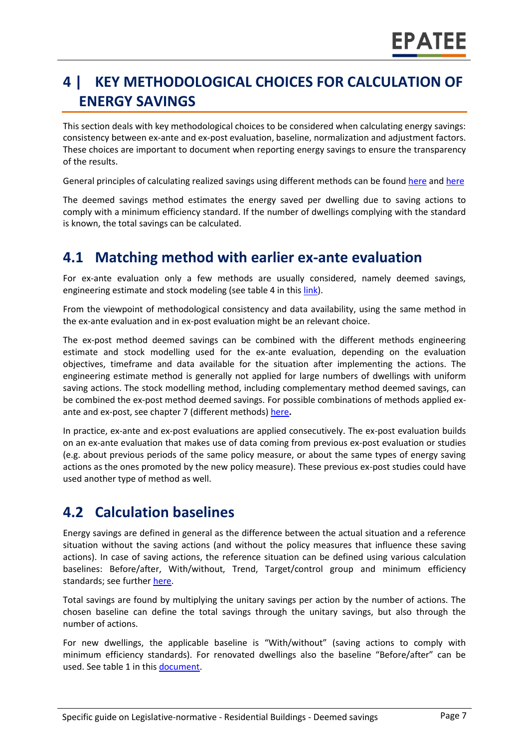# **4 | KEY METHODOLOGICAL CHOICES FOR CALCULATION OF ENERGY SAVINGS**

This section deals with key methodological choices to be considered when calculating energy savings: consistency between ex-ante and ex-post evaluation, baseline, normalization and adjustment factors. These choices are important to document when reporting energy savings to ensure the transparency of the results.

General principles of calculating realized savings using different methods can be found [here](https://www.epatee-lib.eu/media/docs/D4_EMEEES_Final.pdf) and [here](https://www.epatee-lib.eu/media/docs/EMEEES_WP3_Report_Final.pdf)

The deemed savings method estimates the energy saved per dwelling due to saving actions to comply with a minimum efficiency standard. If the number of dwellings complying with the standard is known, the total savings can be calculated.

#### **4.1 Matching method with earlier ex-ante evaluation**

For ex-ante evaluation only a few methods are usually considered, namely deemed savings, engineering estimate and stock modeling (see table 4 in thi[s link\)](https://www.epatee-toolbox.eu/evaluation-principles-and-methods/general-principles/saving-calculation-methods-and-their-application-in-the-epatee-toolbox/).

From the viewpoint of methodological consistency and data availability, using the same method in the ex-ante evaluation and in ex-post evaluation might be an relevant choice.

The ex-post method deemed savings can be combined with the different methods engineering estimate and stock modelling used for the ex-ante evaluation, depending on the evaluation objectives, timeframe and data available for the situation after implementing the actions. The engineering estimate method is generally not applied for large numbers of dwellings with uniform saving actions. The stock modelling method, including complementary method deemed savings, can be combined the ex-post method deemed savings. For possible combinations of methods applied exante and ex-post, see chapter 7 (different methods[\) here](https://www.epatee-toolbox.eu/wp-content/uploads/2019/04/Saving_calculation_methods_for_EPATEE_Toobox_2019_04_24.pdf)**.**

In practice, ex-ante and ex-post evaluations are applied consecutively. The ex-post evaluation builds on an ex-ante evaluation that makes use of data coming from previous ex-post evaluation or studies (e.g. about previous periods of the same policy measure, or about the same types of energy saving actions as the ones promoted by the new policy measure). These previous ex-post studies could have used another type of method as well.

#### **4.2 Calculation baselines**

Energy savings are defined in general as the difference between the actual situation and a reference situation without the saving actions (and without the policy measures that influence these saving actions). In case of saving actions, the reference situation can be defined using various calculation baselines: Before/after, With/without, Trend, Target/control group and minimum efficiency standards; see further [here.](https://www.epatee-toolbox.eu/wp-content/uploads/2019/04/Application_of_KB_savings_baselines_and_correction_factors_in_the_Toolbox_and_PSMCs_190418_.pdf)

Total savings are found by multiplying the unitary savings per action by the number of actions. The chosen baseline can define the total savings through the unitary savings, but also through the number of actions.

For new dwellings, the applicable baseline is "With/without" (saving actions to comply with minimum efficiency standards). For renovated dwellings also the baseline "Before/after" can be used. See table 1 in this [document.](https://www.academia.edu/14979876/Evaluating_energy_efficiency_policy_measures_and_DSM_programmes)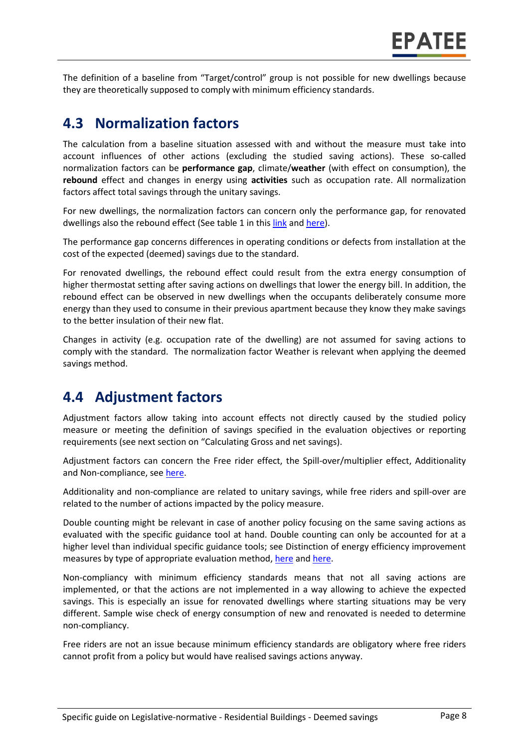The definition of a baseline from "Target/control" group is not possible for new dwellings because they are theoretically supposed to comply with minimum efficiency standards.

#### **4.3 Normalization factors**

The calculation from a baseline situation assessed with and without the measure must take into account influences of other actions (excluding the studied saving actions). These so-called normalization factors can be **performance gap**, climate/**weather** (with effect on consumption), the **rebound** effect and changes in energy using **activities** such as occupation rate. All normalization factors affect total savings through the unitary savings.

For new dwellings, the normalization factors can concern only the performance gap, for renovated dwellings also the rebound effect (See table 1 in this [link](https://www.epatee-toolbox.eu/wp-content/uploads/2019/04/Saving_calculation_methods_for_EPATEE_Toobox_2019_04_24.pdf) an[d here\)](https://www.academia.edu/14979876/Evaluating_energy_efficiency_policy_measures_and_DSM_programmes).

The performance gap concerns differences in operating conditions or defects from installation at the cost of the expected (deemed) savings due to the standard.

For renovated dwellings, the rebound effect could result from the extra energy consumption of higher thermostat setting after saving actions on dwellings that lower the energy bill. In addition, the rebound effect can be observed in new dwellings when the occupants deliberately consume more energy than they used to consume in their previous apartment because they know they make savings to the better insulation of their new flat.

Changes in activity (e.g. occupation rate of the dwelling) are not assumed for saving actions to comply with the standard. The normalization factor Weather is relevant when applying the deemed savings method.

#### **4.4 Adjustment factors**

Adjustment factors allow taking into account effects not directly caused by the studied policy measure or meeting the definition of savings specified in the evaluation objectives or reporting requirements (see next section on "Calculating Gross and net savings).

Adjustment factors can concern the Free rider effect, the Spill-over/multiplier effect, Additionality and Non-compliance, se[e here.](https://www.epatee-toolbox.eu/evaluation-principles-and-methods/general-principles/saving-calculation-methods-and-their-application-in-the-epatee-toolbox/)

Additionality and non-compliance are related to unitary savings, while free riders and spill-over are related to the number of actions impacted by the policy measure.

Double counting might be relevant in case of another policy focusing on the same saving actions as evaluated with the specific guidance tool at hand. Double counting can only be accounted for at a higher level than individual specific guidance tools; see Distinction of energy efficiency improvement measures by type of appropriate evaluation method, [here](https://www.epatee-lib.eu/media/docs/EMEEES_WP2_D1_Assessment_existing_evaluation_2008-04-21.pdf) and [here.](https://www.academia.edu/14979876/Evaluating_energy_efficiency_policy_measures_and_DSM_programmes)

Non-compliancy with minimum efficiency standards means that not all saving actions are implemented, or that the actions are not implemented in a way allowing to achieve the expected savings. This is especially an issue for renovated dwellings where starting situations may be very different. Sample wise check of energy consumption of new and renovated is needed to determine non-compliancy.

Free riders are not an issue because minimum efficiency standards are obligatory where free riders cannot profit from a policy but would have realised savings actions anyway.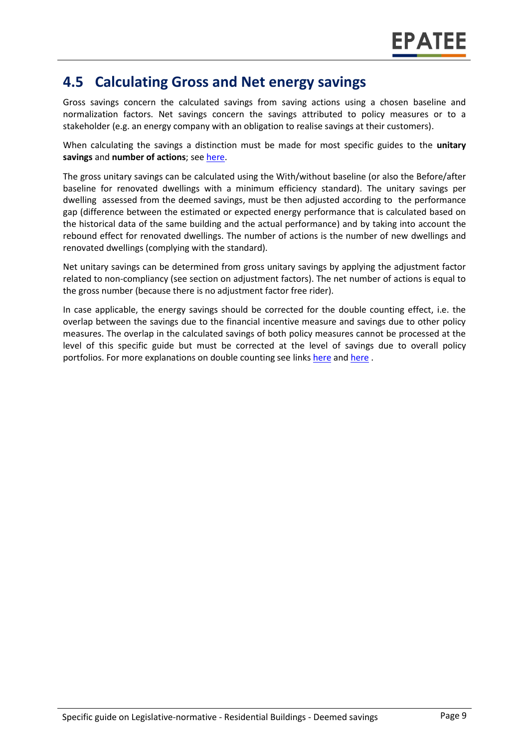#### **4.5 Calculating Gross and Net energy savings**

Gross savings concern the calculated savings from saving actions using a chosen baseline and normalization factors. Net savings concern the savings attributed to policy measures or to a stakeholder (e.g. an energy company with an obligation to realise savings at their customers).

When calculating the savings a distinction must be made for most specific guides to the **unitary savings** and **number of actions**; see [here.](https://ec.europa.eu/energy/intelligent/projects/en/projects/emeees)

The gross unitary savings can be calculated using the With/without baseline (or also the Before/after baseline for renovated dwellings with a minimum efficiency standard). The unitary savings per dwelling assessed from the deemed savings, must be then adjusted according to the performance gap (difference between the estimated or expected energy performance that is calculated based on the historical data of the same building and the actual performance) and by taking into account the rebound effect for renovated dwellings. The number of actions is the number of new dwellings and renovated dwellings (complying with the standard).

Net unitary savings can be determined from gross unitary savings by applying the adjustment factor related to non-compliancy (see section on adjustment factors). The net number of actions is equal to the gross number (because there is no adjustment factor free rider).

In case applicable, the energy savings should be corrected for the double counting effect, i.e. the overlap between the savings due to the financial incentive measure and savings due to other policy measures. The overlap in the calculated savings of both policy measures cannot be processed at the level of this specific guide but must be corrected at the level of savings due to overall policy portfolios. For more explanations on double counting see links [here](https://www.academia.edu/14979876/Evaluating_energy_efficiency_policy_measures_and_DSM_programmes) an[d here](https://www.epatee-lib.eu/media/docs/D4_EMEEES_Final.pdf) .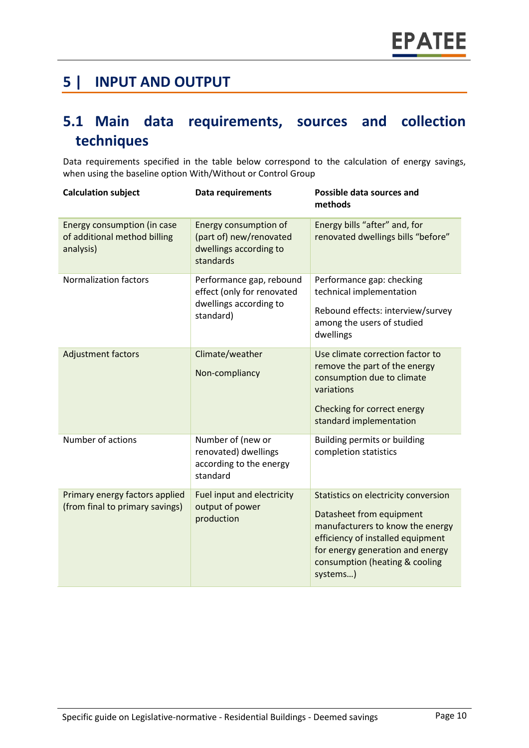### **5 | INPUT AND OUTPUT**

# **5.1 Main data requirements, sources and collection techniques**

Data requirements specified in the table below correspond to the calculation of energy savings, when using the baseline option With/Without or Control Group

| <b>Calculation subject</b>                                               | <b>Data requirements</b>                                                                      | Possible data sources and<br>methods                                                                                                                                                                                        |
|--------------------------------------------------------------------------|-----------------------------------------------------------------------------------------------|-----------------------------------------------------------------------------------------------------------------------------------------------------------------------------------------------------------------------------|
| Energy consumption (in case<br>of additional method billing<br>analysis) | Energy consumption of<br>(part of) new/renovated<br>dwellings according to<br>standards       | Energy bills "after" and, for<br>renovated dwellings bills "before"                                                                                                                                                         |
| <b>Normalization factors</b>                                             | Performance gap, rebound<br>effect (only for renovated<br>dwellings according to<br>standard) | Performance gap: checking<br>technical implementation<br>Rebound effects: interview/survey<br>among the users of studied<br>dwellings                                                                                       |
| Adjustment factors                                                       | Climate/weather<br>Non-compliancy                                                             | Use climate correction factor to<br>remove the part of the energy<br>consumption due to climate<br>variations<br>Checking for correct energy<br>standard implementation                                                     |
| Number of actions                                                        | Number of (new or<br>renovated) dwellings<br>according to the energy<br>standard              | Building permits or building<br>completion statistics                                                                                                                                                                       |
| Primary energy factors applied<br>(from final to primary savings)        | Fuel input and electricity<br>output of power<br>production                                   | Statistics on electricity conversion<br>Datasheet from equipment<br>manufacturers to know the energy<br>efficiency of installed equipment<br>for energy generation and energy<br>consumption (heating & cooling<br>systems) |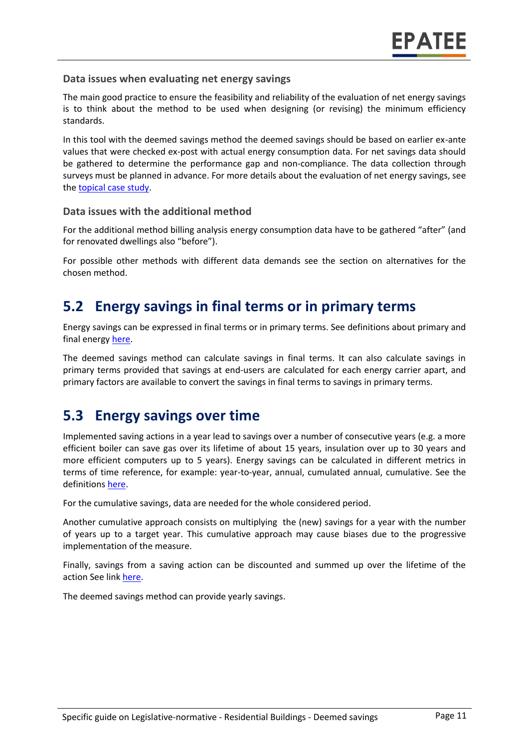#### **Data issues when evaluating net energy savings**

The main good practice to ensure the feasibility and reliability of the evaluation of net energy savings is to think about the method to be used when designing (or revising) the minimum efficiency standards.

In this tool with the deemed savings method the deemed savings should be based on earlier ex-ante values that were checked ex-post with actual energy consumption data. For net savings data should be gathered to determine the performance gap and non-compliance. The data collection through surveys must be planned in advance. For more details about the evaluation of net energy savings, see the [topical case study.](https://www.epatee-toolbox.eu/wp-content/uploads/2018/10/epatee_topical_case_study_evaluating_net_energy_savings.pdf)

#### **Data issues with the additional method**

For the additional method billing analysis energy consumption data have to be gathered "after" (and for renovated dwellings also "before").

For possible other methods with different data demands see the section on alternatives for the chosen method.

#### **5.2 Energy savings in final terms or in primary terms**

Energy savings can be expressed in final terms or in primary terms. See definitions about primary and final energy [here.](https://www.epatee-toolbox.eu/wp-content/uploads/2018/10/Definitions-and-typologies-related-to-energy-savings-evaluation.pdf)

The deemed savings method can calculate savings in final terms. It can also calculate savings in primary terms provided that savings at end-users are calculated for each energy carrier apart, and primary factors are available to convert the savings in final terms to savings in primary terms.

#### **5.3 Energy savings over time**

Implemented saving actions in a year lead to savings over a number of consecutive years (e.g. a more efficient boiler can save gas over its lifetime of about 15 years, insulation over up to 30 years and more efficient computers up to 5 years). Energy savings can be calculated in different metrics in terms of time reference, for example: year-to-year, annual, cumulated annual, cumulative. See the definitions [here.](https://www.epatee-toolbox.eu/wp-content/uploads/2018/10/Definitions-and-typologies-related-to-energy-savings-evaluation.pdf)

For the cumulative savings, data are needed for the whole considered period.

Another cumulative approach consists on multiplying the (new) savings for a year with the number of years up to a target year. This cumulative approach may cause biases due to the progressive implementation of the measure.

Finally, savings from a saving action can be discounted and summed up over the lifetime of the action See link [here.](https://www.epatee-toolbox.eu/wp-content/uploads/2018/10/Definitions-and-typologies-related-to-energy-savings-evaluation.pdf)

The deemed savings method can provide yearly savings.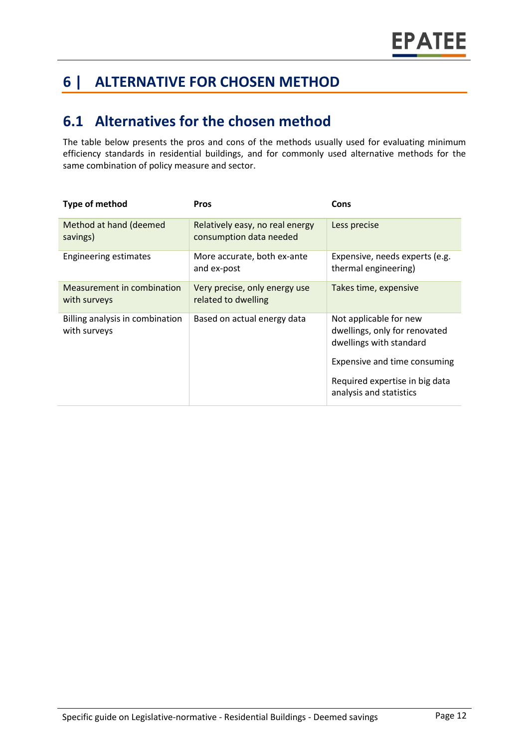# **6 | ALTERNATIVE FOR CHOSEN METHOD**

# **6.1 Alternatives for the chosen method**

The table below presents the pros and cons of the methods usually used for evaluating minimum efficiency standards in residential buildings, and for commonly used alternative methods for the same combination of policy measure and sector.

| Type of method                                  | <b>Pros</b>                                                | Cons                                                                                                               |
|-------------------------------------------------|------------------------------------------------------------|--------------------------------------------------------------------------------------------------------------------|
| Method at hand (deemed<br>savings)              | Relatively easy, no real energy<br>consumption data needed | Less precise                                                                                                       |
| <b>Engineering estimates</b>                    | More accurate, both ex-ante<br>and ex-post                 | Expensive, needs experts (e.g.<br>thermal engineering)                                                             |
| Measurement in combination<br>with surveys      | Very precise, only energy use<br>related to dwelling       | Takes time, expensive                                                                                              |
| Billing analysis in combination<br>with surveys | Based on actual energy data                                | Not applicable for new<br>dwellings, only for renovated<br>dwellings with standard<br>Expensive and time consuming |
|                                                 |                                                            | Required expertise in big data<br>analysis and statistics                                                          |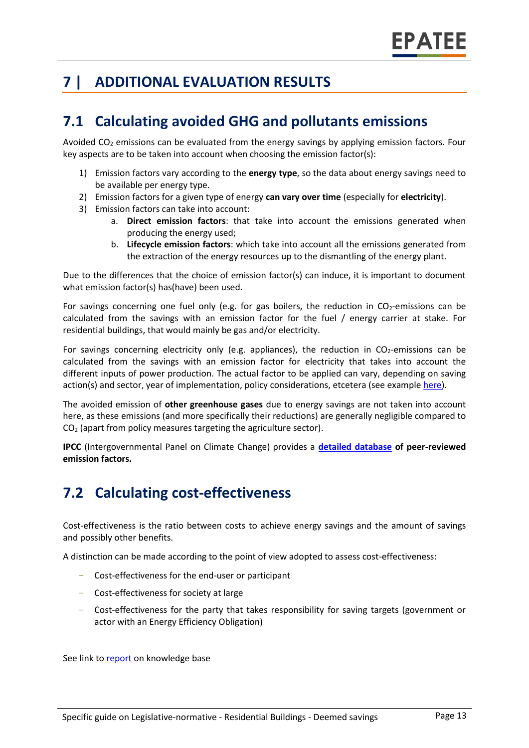# **7 | ADDITIONAL EVALUATION RESULTS**

### **7.1 Calculating avoided GHG and pollutants emissions**

Avoided  $CO<sub>2</sub>$  emissions can be evaluated from the energy savings by applying emission factors. Four key aspects are to be taken into account when choosing the emission factor(s):

- 1) Emission factors vary according to the **energy type**, so the data about energy savings need to be available per energy type.
- 2) Emission factors for a given type of energy **can vary over time** (especially for **electricity**).
- 3) Emission factors can take into account:
	- a. **Direct emission factors**: that take into account the emissions generated when producing the energy used;
	- b. **Lifecycle emission factors**: which take into account all the emissions generated from the extraction of the energy resources up to the dismantling of the energy plant.

Due to the differences that the choice of emission factor(s) can induce, it is important to document what emission factor(s) has(have) been used.

For savings concerning one fuel only (e.g. for gas boilers, the reduction in  $CO<sub>2</sub>$ -emissions can be calculated from the savings with an emission factor for the fuel / energy carrier at stake. For residential buildings, that would mainly be gas and/or electricity.

For savings concerning electricity only (e.g. appliances), the reduction in  $CO<sub>2</sub>$ -emissions can be calculated from the savings with an emission factor for electricity that takes into account the different inputs of power production. The actual factor to be applied can vary, depending on saving action(s) and sector, year of implementation, policy considerations, etcetera (see exampl[e here\)](https://www.researchgate.net/publication/222601305_Evaluation_of_methods_used_to_determine_realized_energy_savings).

The avoided emission of **other greenhouse gases** due to energy savings are not taken into account here, as these emissions (and more specifically their reductions) are generally negligible compared to  $CO<sub>2</sub>$  (apart from policy measures targeting the agriculture sector).

**IPCC** (Intergovernmental Panel on Climate Change) provides a **[detailed database](https://www.ipcc-nggip.iges.or.jp/EFDB/main.php) of peer-reviewed emission factors.** 

# **7.2 Calculating cost-effectiveness**

Cost-effectiveness is the ratio between costs to achieve energy savings and the amount of savings and possibly other benefits.

A distinction can be made according to the point of view adopted to assess cost-effectiveness:

- Cost-effectiveness for the end-user or participant
- Cost-effectiveness for society at large
- Cost-effectiveness for the party that takes responsibility for saving targets (government or actor with an Energy Efficiency Obligation)

See link t[o report](https://epatee.eu/knowledge-base) on knowledge base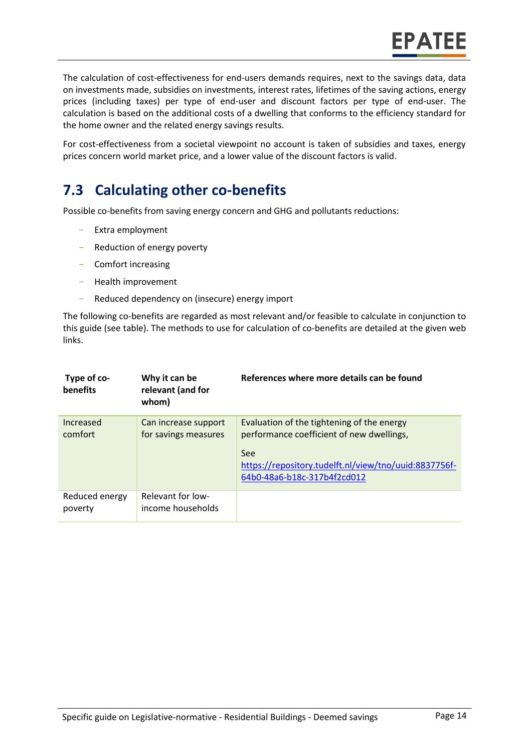**EPATEE** 

The calculation of cost-effectiveness for end-users demands requires, next to the savings data, data on investments made, subsidies on investments, interest rates, lifetimes of the saving actions, energy prices (including taxes) per type of end-user and discount factors per type of end-user. The calculation is based on the additional costs of a dwelling that conforms to the efficiency standard for the home owner and the related energy savings results.

For cost-effectiveness from a societal viewpoint no account is taken of subsidies and taxes, energy prices concern world market price, and a lower value of the discount factors is valid.

### **7.3 Calculating other co-benefits**

Possible co-benefits from saving energy concern and GHG and pollutants reductions:

- Extra employment
- Reduction of energy poverty
- Comfort increasing
- Health improvement
- Reduced dependency on (insecure) energy import

The following co-benefits are regarded as most relevant and/or feasible to calculate in conjunction to this guide (see table). The methods to use for calculation of co-benefits are detailed at the given web links.

| Type of co-<br>benefits   | Why it can be<br>relevant (and for<br>whom)  | References where more details can be found                                                                                                                                             |
|---------------------------|----------------------------------------------|----------------------------------------------------------------------------------------------------------------------------------------------------------------------------------------|
| Increased<br>comfort      | Can increase support<br>for savings measures | Evaluation of the tightening of the energy<br>performance coefficient of new dwellings,<br>See<br>https://repository.tudelft.nl/view/tno/uuid:8837756f-<br>64b0-48a6-b18c-317b4f2cd012 |
| Reduced energy<br>poverty | Relevant for low-<br>income households       |                                                                                                                                                                                        |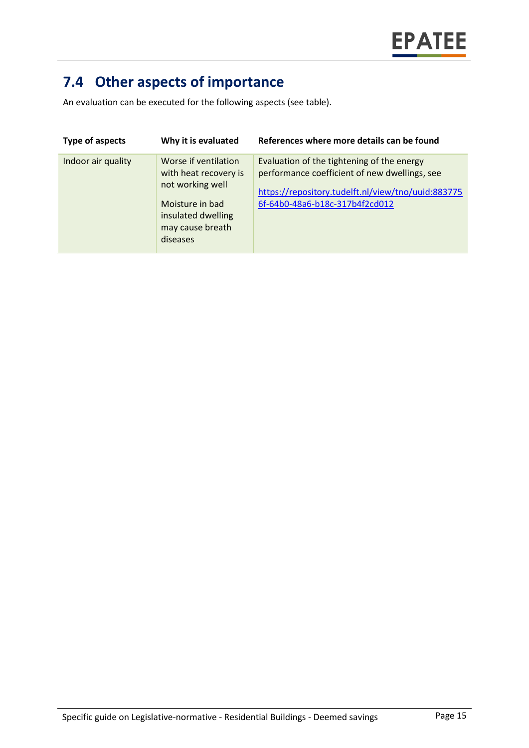# **7.4 Other aspects of importance**

An evaluation can be executed for the following aspects (see table).

| Type of aspects    | Why it is evaluated                                                                                                                        | References where more details can be found                                                                                                                                          |
|--------------------|--------------------------------------------------------------------------------------------------------------------------------------------|-------------------------------------------------------------------------------------------------------------------------------------------------------------------------------------|
| Indoor air quality | Worse if ventilation<br>with heat recovery is<br>not working well<br>Moisture in bad<br>insulated dwelling<br>may cause breath<br>diseases | Evaluation of the tightening of the energy<br>performance coefficient of new dwellings, see<br>https://repository.tudelft.nl/view/tno/uuid:883775<br>6f-64b0-48a6-b18c-317b4f2cd012 |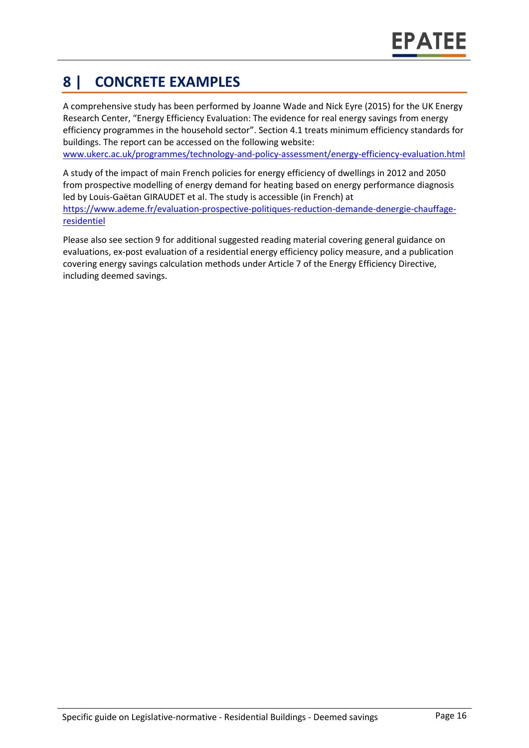# **8 | CONCRETE EXAMPLES**

A comprehensive study has been performed by Joanne Wade and Nick Eyre (2015) for the UK Energy Research Center, "Energy Efficiency Evaluation: The evidence for real energy savings from energy efficiency programmes in the household sector". Section 4.1 treats minimum efficiency standards for buildings. The report can be accessed on the following website:

[www.ukerc.ac.uk/programmes/technology-and-policy-assessment/energy-efficiency-evaluation.html](http://www.ukerc.ac.uk/programmes/technology-and-policy-assessment/energy-efficiency-evaluation.html)

A study of the impact of main French policies for energy efficiency of dwellings in 2012 and 2050 from prospective modelling of energy demand for heating based on energy performance diagnosis led by Louis-Gaëtan GIRAUDET et al. The study is accessible (in French) at [https://www.ademe.fr/evaluation-prospective-politiques-reduction-demande-denergie-chauffage](https://www.ademe.fr/evaluation-prospective-politiques-reduction-demande-denergie-chauffage-residentiel)[residentiel](https://www.ademe.fr/evaluation-prospective-politiques-reduction-demande-denergie-chauffage-residentiel)

Please also see section 9 for additional suggested reading material covering general guidance on evaluations, ex-post evaluation of a residential energy efficiency policy measure, and a publication covering energy savings calculation methods under Article 7 of the Energy Efficiency Directive, including deemed savings.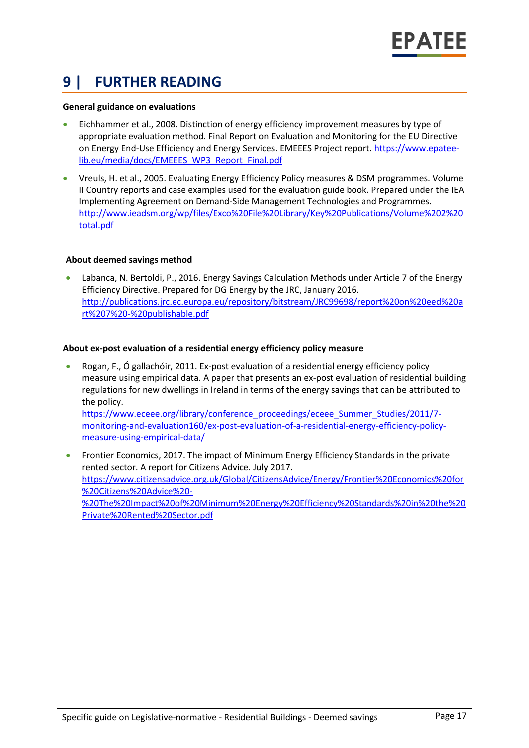### **9 | FURTHER READING**

#### **General guidance on evaluations**

- Eichhammer et al., 2008. Distinction of energy efficiency improvement measures by type of appropriate evaluation method. Final Report on Evaluation and Monitoring for the EU Directive on Energy End-Use Efficiency and Energy Services. EMEEES Project report. [https://www.epatee](https://www.epatee-lib.eu/media/docs/EMEEES_WP3_Report_Final.pdf)[lib.eu/media/docs/EMEEES\\_WP3\\_Report\\_Final.pdf](https://www.epatee-lib.eu/media/docs/EMEEES_WP3_Report_Final.pdf)
- Vreuls, H. et al., 2005. Evaluating Energy Efficiency Policy measures & DSM programmes. Volume II Country reports and case examples used for the evaluation guide book. Prepared under the IEA Implementing Agreement on Demand-Side Management Technologies and Programmes. [http://www.ieadsm.org/wp/files/Exco%20File%20Library/Key%20Publications/Volume%202%20](http://www.ieadsm.org/wp/files/Exco%20File%20Library/Key%20Publications/Volume%202%20total.pdf) [total.pdf](http://www.ieadsm.org/wp/files/Exco%20File%20Library/Key%20Publications/Volume%202%20total.pdf)

#### **About deemed savings method**

• Labanca, N. Bertoldi, P., 2016. Energy Savings Calculation Methods under Article 7 of the Energy Efficiency Directive. Prepared for DG Energy by the JRC, January 2016. [http://publications.jrc.ec.europa.eu/repository/bitstream/JRC99698/report%20on%20eed%20a](http://publications.jrc.ec.europa.eu/repository/bitstream/JRC99698/report%20on%20eed%20art%207%20-%20publishable.pdf) [rt%207%20-%20publishable.pdf](http://publications.jrc.ec.europa.eu/repository/bitstream/JRC99698/report%20on%20eed%20art%207%20-%20publishable.pdf)

#### **About ex-post evaluation of a residential energy efficiency policy measure**

- Rogan, F., Ó gallachóir, 2011. Ex-post evaluation of a residential energy efficiency policy measure using empirical data. A paper that presents an ex-post evaluation of residential building regulations for new dwellings in Ireland in terms of the energy savings that can be attributed to the policy. [https://www.eceee.org/library/conference\\_proceedings/eceee\\_Summer\\_Studies/2011/7](https://www.eceee.org/library/conference_proceedings/eceee_Summer_Studies/2011/7-monitoring-and-evaluation160/ex-post-evaluation-of-a-residential-energy-efficiency-policy-measure-using-empirical-data/) [monitoring-and-evaluation160/ex-post-evaluation-of-a-residential-energy-efficiency-policy](https://www.eceee.org/library/conference_proceedings/eceee_Summer_Studies/2011/7-monitoring-and-evaluation160/ex-post-evaluation-of-a-residential-energy-efficiency-policy-measure-using-empirical-data/)[measure-using-empirical-data/](https://www.eceee.org/library/conference_proceedings/eceee_Summer_Studies/2011/7-monitoring-and-evaluation160/ex-post-evaluation-of-a-residential-energy-efficiency-policy-measure-using-empirical-data/)
- Frontier Economics, 2017. The impact of Minimum Energy Efficiency Standards in the private rented sector. A report for Citizens Advice. July 2017. [https://www.citizensadvice.org.uk/Global/CitizensAdvice/Energy/Frontier%20Economics%20for](https://www.citizensadvice.org.uk/Global/CitizensAdvice/Energy/Frontier%20Economics%20for%20Citizens%20Advice%20-%20The%20Impact%20of%20Minimum%20Energy%20Efficiency%20Standards%20in%20the%20Private%20Rented%20Sector.pdf) [%20Citizens%20Advice%20-](https://www.citizensadvice.org.uk/Global/CitizensAdvice/Energy/Frontier%20Economics%20for%20Citizens%20Advice%20-%20The%20Impact%20of%20Minimum%20Energy%20Efficiency%20Standards%20in%20the%20Private%20Rented%20Sector.pdf) [%20The%20Impact%20of%20Minimum%20Energy%20Efficiency%20Standards%20in%20the%20](https://www.citizensadvice.org.uk/Global/CitizensAdvice/Energy/Frontier%20Economics%20for%20Citizens%20Advice%20-%20The%20Impact%20of%20Minimum%20Energy%20Efficiency%20Standards%20in%20the%20Private%20Rented%20Sector.pdf) [Private%20Rented%20Sector.pdf](https://www.citizensadvice.org.uk/Global/CitizensAdvice/Energy/Frontier%20Economics%20for%20Citizens%20Advice%20-%20The%20Impact%20of%20Minimum%20Energy%20Efficiency%20Standards%20in%20the%20Private%20Rented%20Sector.pdf)